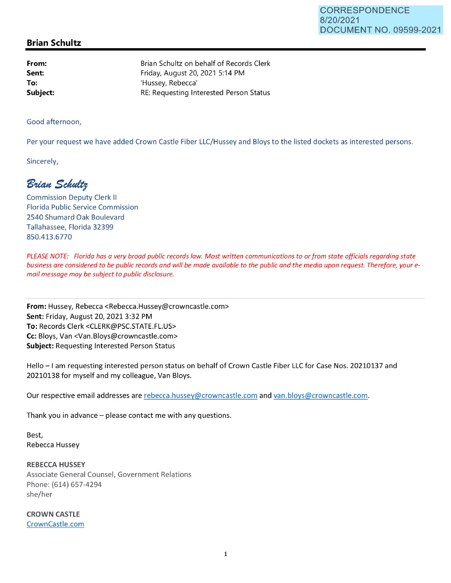## **Brian Schultz**

**From: Sent: To: Subject:**  Brian Schultz on behalf of Records Clerk Friday, August 20, 2021 5:14 PM 'Hussey, Rebecca' RE: Requesting Interested Person Status

Good afternoon,

Per your request we have added Crown Castle Fiber LLC/Hussey and Bloys to the listed dockets as interested persons.

Sincerely,

 $B$ rian Schultz

Commission Deputy Clerk II Florida Public Service Commission 2540 Shumard Oak Boulevard Tallahassee, Florida 32399 850.413.6770

*PLEASE NOTE: Florida has a very broad public records law. Most written communications to or from state officials regarding state business are considered to be public records and will be made available to the public and the media upon request. Therefore, your email message may be subject to public disclosure.* 

**From:** Hussey, Rebecca <Rebecca.Hussey@crowncastle.com> **Sent:** Friday, August 20, 20213:32 PM **To:** Records Clerk <CLERK@PSC.STATE.FL.US> **Cc:** Bloys, Van <Van.Bloys@crowncastle.com> **Subject:** Requesting Interested Person Status

Hello - I am requesting interested person status on behalf of Crown Castle Fiber LLC for Case Nos. 20210137 and 20210138 for myself and my colleague, Van Bloys.

Our respective email addresses are rebecca.hussey@crowncastle.com and van.bloys@crowncastle.com.

Thank you in advance  $-$  please contact me with any questions.

Best, Rebecca Hussey

**REBECCA HUSSEY**  Associate General Counsel, Government Relations Phone: (614) 657-4294 she/her

**CROWN CASTLE**  CrownCastle.com